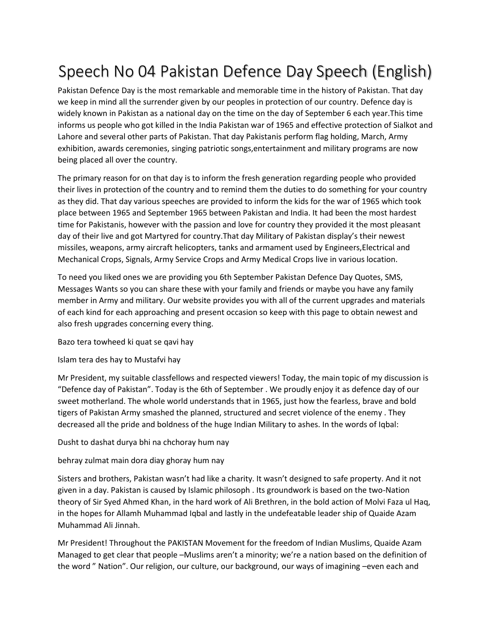## Speech No 04 Pakistan Defence Day Speech (English)

Pakistan Defence Day is the most remarkable and memorable time in the history of Pakistan. That day we keep in mind all the surrender given by our peoples in protection of our country. Defence day is widely known in Pakistan as a national day on the time on the day of September 6 each year.This time informs us people who got killed in the India Pakistan war of 1965 and effective protection of Sialkot and Lahore and several other parts of Pakistan. That day Pakistanis perform flag holding, March, Army exhibition, awards ceremonies, singing patriotic songs,entertainment and military programs are now being placed all over the country.

The primary reason for on that day is to inform the fresh generation regarding people who provided their lives in protection of the country and to remind them the duties to do something for your country as they did. That day various speeches are provided to inform the kids for the war of 1965 which took place between 1965 and September 1965 between Pakistan and India. It had been the most hardest time for Pakistanis, however with the passion and love for country they provided it the most pleasant day of their live and got Martyred for country.That day Military of Pakistan display's their newest missiles, weapons, army aircraft helicopters, tanks and armament used by Engineers,Electrical and Mechanical Crops, Signals, Army Service Crops and Army Medical Crops live in various location.

To need you liked ones we are providing you 6th September Pakistan Defence Day Quotes, SMS, Messages Wants so you can share these with your family and friends or maybe you have any family member in Army and military. Our website provides you with all of the current upgrades and materials of each kind for each approaching and present occasion so keep with this page to obtain newest and also fresh upgrades concerning every thing.

Bazo tera towheed ki quat se qavi hay

Islam tera des hay to Mustafvi hay

Mr President, my suitable classfellows and respected viewers! Today, the main topic of my discussion is "Defence day of Pakistan". Today is the 6th of September . We proudly enjoy it as defence day of our sweet motherland. The whole world understands that in 1965, just how the fearless, brave and bold tigers of Pakistan Army smashed the planned, structured and secret violence of the enemy . They decreased all the pride and boldness of the huge Indian Military to ashes. In the words of Iqbal:

Dusht to dashat durya bhi na chchoray hum nay

## behray zulmat main dora diay ghoray hum nay

Sisters and brothers, Pakistan wasn't had like a charity. It wasn't designed to safe property. And it not given in a day. Pakistan is caused by Islamic philosoph . Its groundwork is based on the two-Nation theory of Sir Syed Ahmed Khan, in the hard work of Ali Brethren, in the bold action of Molvi Faza ul Haq, in the hopes for Allamh Muhammad Iqbal and lastly in the undefeatable leader ship of Quaide Azam Muhammad Ali Jinnah.

Mr President! Throughout the PAKISTAN Movement for the freedom of Indian Muslims, Quaide Azam Managed to get clear that people –Muslims aren't a minority; we're a nation based on the definition of the word " Nation". Our religion, our culture, our background, our ways of imagining –even each and